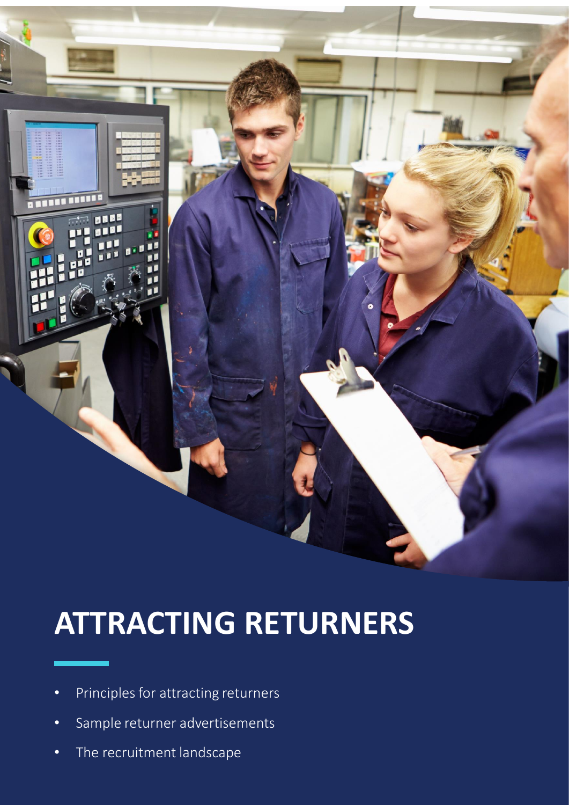

# **ATTRACTING RETURNERS**

- Principles for attracting returners
- Sample returner advertisements
- **•** The recruitment landscape **Frogram Starter Pack 1**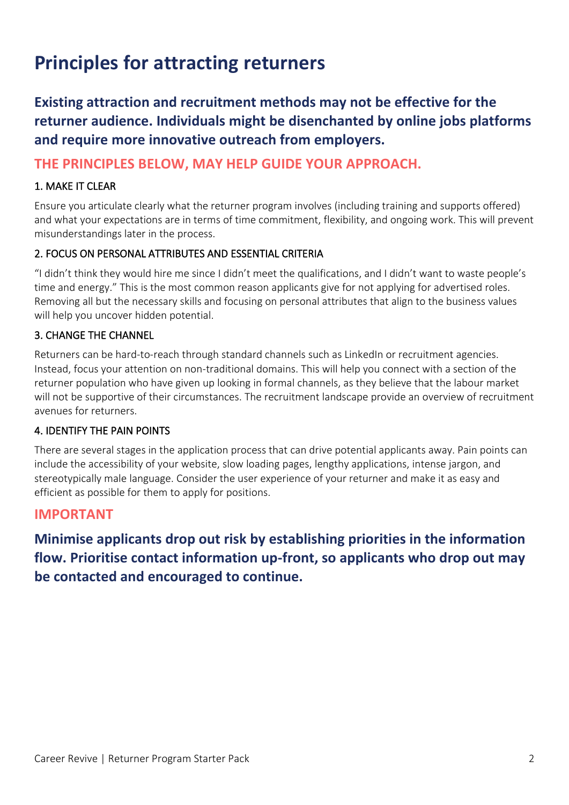## **Principles for attracting returners**

**Existing attraction and recruitment methods may not be effective for the returner audience. Individuals might be disenchanted by online jobs platforms and require more innovative outreach from employers.** 

#### **THE PRINCIPLES BELOW, MAY HELP GUIDE YOUR APPROACH.**

#### 1. MAKE IT CLEAR

Ensure you articulate clearly what the returner program involves (including training and supports offered) and what your expectations are in terms of time commitment, flexibility, and ongoing work. This will prevent misunderstandings later in the process.

#### 2. FOCUS ON PERSONAL ATTRIBUTES AND ESSENTIAL CRITERIA

"I didn't think they would hire me since I didn't meet the qualifications, and I didn't want to waste people's time and energy." This is the most common reason applicants give for not applying for advertised roles. Removing all but the necessary skills and focusing on personal attributes that align to the business values will help you uncover hidden potential.

#### 3. CHANGE THE CHANNEL

Returners can be hard-to-reach through standard channels such as LinkedIn or recruitment agencies. Instead, focus your attention on non-traditional domains. This will help you connect with a section of the returner population who have given up looking in formal channels, as they believe that the labour market will not be supportive of their circumstances. The recruitment landscape provide an overview of recruitment avenues for returners.

#### 4. IDENTIFY THE PAIN POINTS

There are several stages in the application process that can drive potential applicants away. Pain points can include the accessibility of your website, slow loading pages, lengthy applications, intense jargon, and stereotypically male language. Consider the user experience of your returner and make it as easy and efficient as possible for them to apply for positions.

#### **IMPORTANT**

**Minimise applicants drop out risk by establishing priorities in the information flow. Prioritise contact information up-front, so applicants who drop out may be contacted and encouraged to continue.**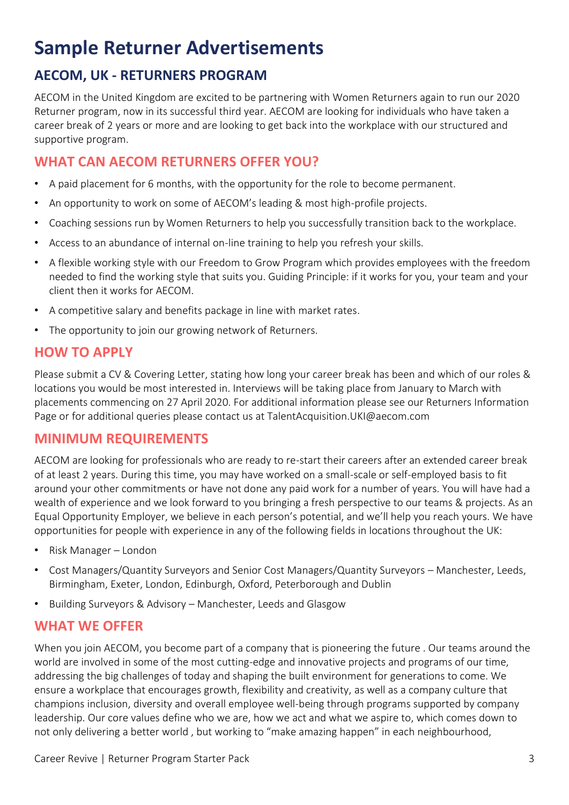## **Sample Returner Advertisements**

### **AECOM, UK - RETURNERS PROGRAM**

AECOM in the United Kingdom are excited to be partnering with Women Returners again to run our 2020 Returner program, now in its successful third year. AECOM are looking for individuals who have taken a career break of 2 years or more and are looking to get back into the workplace with our structured and supportive program.

#### **WHAT CAN AECOM RETURNERS OFFER YOU?**

- A paid placement for 6 months, with the opportunity for the role to become permanent.
- An opportunity to work on some of AECOM's leading & most high-profile projects.
- Coaching sessions run by Women Returners to help you successfully transition back to the workplace.
- Access to an abundance of internal on-line training to help you refresh your skills.
- A flexible working style with our Freedom to Grow Program which provides employees with the freedom needed to find the working style that suits you. Guiding Principle: if it works for you, your team and your client then it works for AECOM.
- A competitive salary and benefits package in line with market rates.
- The opportunity to join our growing network of Returners.

#### **HOW TO APPLY**

Please submit a CV & Covering Letter, stating how long your career break has been and which of our roles & locations you would be most interested in. Interviews will be taking place from January to March with placements commencing on 27 April 2020. For additional information please see our Returners Information Page or for additional queries please contact us at TalentAcquisition.UKI@aecom.com

#### **MINIMUM REQUIREMENTS**

AECOM are looking for professionals who are ready to re-start their careers after an extended career break of at least 2 years. During this time, you may have worked on a small-scale or self-employed basis to fit around your other commitments or have not done any paid work for a number of years. You will have had a wealth of experience and we look forward to you bringing a fresh perspective to our teams & projects. As an Equal Opportunity Employer, we believe in each person's potential, and we'll help you reach yours. We have opportunities for people with experience in any of the following fields in locations throughout the UK:

- Risk Manager London
- Cost Managers/Quantity Surveyors and Senior Cost Managers/Quantity Surveyors Manchester, Leeds, Birmingham, Exeter, London, Edinburgh, Oxford, Peterborough and Dublin
- Building Surveyors & Advisory Manchester, Leeds and Glasgow

#### **WHAT WE OFFER**

When you join AECOM, you become part of a company that is pioneering the future . Our teams around the world are involved in some of the most cutting-edge and innovative projects and programs of our time, addressing the big challenges of today and shaping the built environment for generations to come. We ensure a workplace that encourages growth, flexibility and creativity, as well as a company culture that champions inclusion, diversity and overall employee well-being through programs supported by company leadership. Our core values define who we are, how we act and what we aspire to, which comes down to not only delivering a better world , but working to "make amazing happen" in each neighbourhood,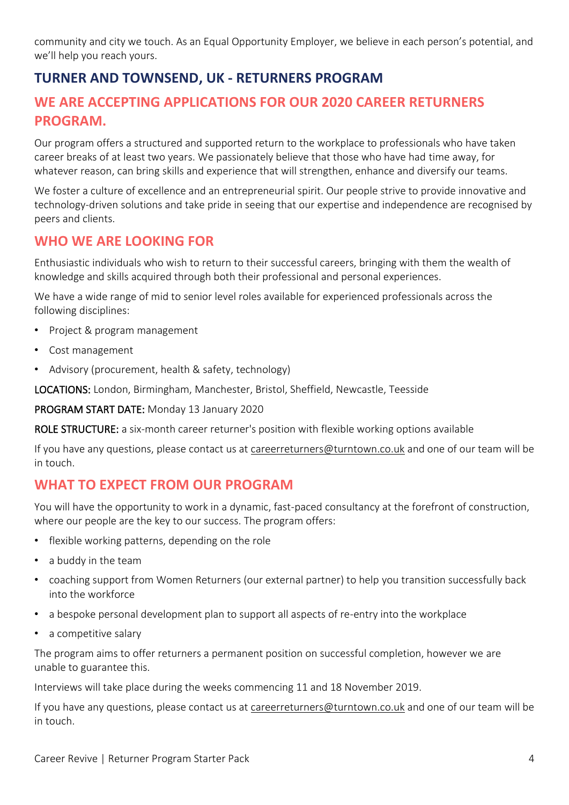community and city we touch. As an Equal Opportunity Employer, we believe in each person's potential, and we'll help you reach yours.

### **TURNER AND TOWNSEND, UK - RETURNERS PROGRAM**

#### **WE ARE ACCEPTING APPLICATIONS FOR OUR 2020 CAREER RETURNERS PROGRAM.**

Our program offers a structured and supported return to the workplace to professionals who have taken career breaks of at least two years. We passionately believe that those who have had time away, for whatever reason, can bring skills and experience that will strengthen, enhance and diversify our teams.

We foster a culture of excellence and an entrepreneurial spirit. Our people strive to provide innovative and technology-driven solutions and take pride in seeing that our expertise and independence are recognised by peers and clients.

#### **WHO WE ARE LOOKING FOR**

Enthusiastic individuals who wish to return to their successful careers, bringing with them the wealth of knowledge and skills acquired through both their professional and personal experiences.

We have a wide range of mid to senior level roles available for experienced professionals across the following disciplines:

- Project & program management
- Cost management
- Advisory (procurement, health & safety, technology)

LOCATIONS: London, Birmingham, Manchester, Bristol, Sheffield, Newcastle, Teesside

PROGRAM START DATE: Monday 13 January 2020

ROLE STRUCTURE: a six-month career returner's position with flexible working options available

If you have any questions, please contact us at [careerreturners@turntown.co.uk](mailto:careerreturners@turntown.co.uk) and one of our team will be in touch.

#### **WHAT TO EXPECT FROM OUR PROGRAM**

You will have the opportunity to work in a dynamic, fast-paced consultancy at the forefront of construction, where our people are the key to our success. The program offers:

- flexible working patterns, depending on the role
- a buddy in the team
- coaching support from Women Returners (our external partner) to help you transition successfully back into the workforce
- a bespoke personal development plan to support all aspects of re-entry into the workplace
- a competitive salary

The program aims to offer returners a permanent position on successful completion, however we are unable to guarantee this.

Interviews will take place during the weeks commencing 11 and 18 November 2019.

If you have any questions, please contact us at [careerreturners@turntown.co.uk](mailto:careerreturners@turntown.co.uk) and one of our team will be in touch.